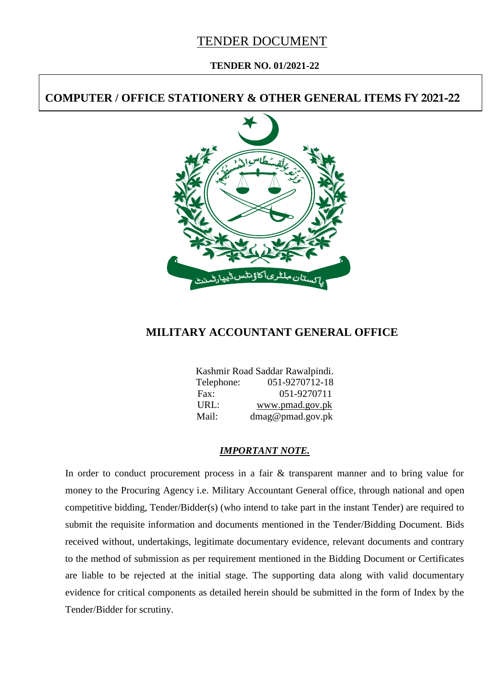# TENDER DOCUMENT

#### **TENDER NO. 01/2021-22**

# **COMPUTER / OFFICE STATIONERY & OTHER GENERAL ITEMS FY 2021-22**



# **MILITARY ACCOUNTANT GENERAL OFFICE**

|            | Kashmir Road Saddar Rawalpindi. |
|------------|---------------------------------|
| Telephone: | 051-9270712-18                  |
| Fax:       | 051-9270711                     |
| URL:       | www.pmad.gov.pk                 |
| Mail:      | dmag@pmad.gov.pk                |

#### *IMPORTANT NOTE.*

In order to conduct procurement process in a fair & transparent manner and to bring value for money to the Procuring Agency i.e. Military Accountant General office, through national and open competitive bidding, Tender/Bidder(s) (who intend to take part in the instant Tender) are required to submit the requisite information and documents mentioned in the Tender/Bidding Document. Bids received without, undertakings, legitimate documentary evidence, relevant documents and contrary to the method of submission as per requirement mentioned in the Bidding Document or Certificates are liable to be rejected at the initial stage. The supporting data along with valid documentary evidence for critical components as detailed herein should be submitted in the form of Index by the Tender/Bidder for scrutiny.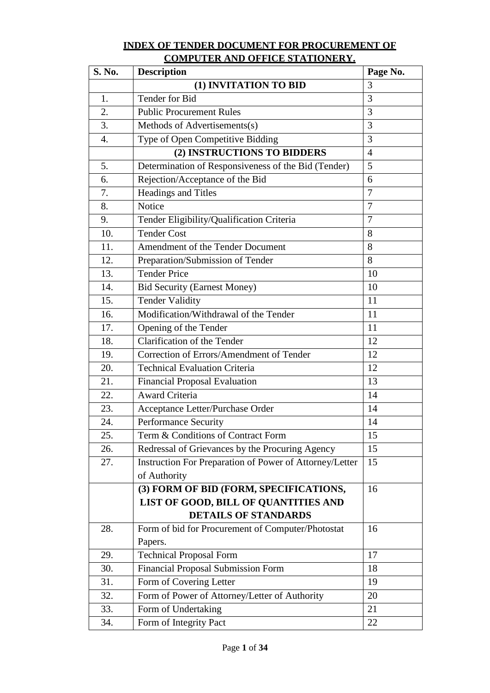# **INDEX OF TENDER DOCUMENT FOR PROCUREMENT OF COMPUTER AND OFFICE STATIONERY.**

| S. No. | <b>Description</b>                                      | Page No.       |
|--------|---------------------------------------------------------|----------------|
|        | (1) INVITATION TO BID                                   | 3              |
| 1.     | Tender for Bid                                          | 3              |
| 2.     | <b>Public Procurement Rules</b>                         | 3              |
| 3.     | Methods of Advertisements(s)                            | 3              |
| 4.     | Type of Open Competitive Bidding                        | 3              |
|        | (2) INSTRUCTIONS TO BIDDERS                             | $\overline{4}$ |
| 5.     | Determination of Responsiveness of the Bid (Tender)     | 5              |
| 6.     | Rejection/Acceptance of the Bid                         | 6              |
| 7.     | Headings and Titles                                     | $\overline{7}$ |
| 8.     | Notice                                                  | $\overline{7}$ |
| 9.     | Tender Eligibility/Qualification Criteria               | 7              |
| 10.    | <b>Tender Cost</b>                                      | 8              |
| 11.    | Amendment of the Tender Document                        | 8              |
| 12.    | Preparation/Submission of Tender                        | 8              |
| 13.    | <b>Tender Price</b>                                     | 10             |
| 14.    | <b>Bid Security (Earnest Money)</b>                     | 10             |
| 15.    | <b>Tender Validity</b>                                  | 11             |
| 16.    | Modification/Withdrawal of the Tender                   | 11             |
| 17.    | Opening of the Tender                                   | 11             |
| 18.    | Clarification of the Tender                             | 12             |
| 19.    | Correction of Errors/Amendment of Tender                | 12             |
| 20.    | <b>Technical Evaluation Criteria</b>                    | 12             |
| 21.    | <b>Financial Proposal Evaluation</b>                    | 13             |
| 22.    | <b>Award Criteria</b>                                   | 14             |
| 23.    | Acceptance Letter/Purchase Order                        | 14             |
| 24.    | Performance Security                                    | 14             |
| 25.    | Term & Conditions of Contract Form                      | 15             |
| 26.    | Redressal of Grievances by the Procuring Agency         | 15             |
| 27.    | Instruction For Preparation of Power of Attorney/Letter | 15             |
|        | of Authority                                            |                |
|        | (3) FORM OF BID (FORM, SPECIFICATIONS,                  | 16             |
|        | LIST OF GOOD, BILL OF QUANTITIES AND                    |                |
|        | <b>DETAILS OF STANDARDS</b>                             |                |
| 28.    | Form of bid for Procurement of Computer/Photostat       | 16             |
|        | Papers.                                                 |                |
| 29.    | <b>Technical Proposal Form</b>                          | 17             |
| 30.    | Financial Proposal Submission Form                      | 18             |
| 31.    | Form of Covering Letter                                 | 19             |
| 32.    | Form of Power of Attorney/Letter of Authority           | 20             |
| 33.    | Form of Undertaking                                     | 21             |
| 34.    | Form of Integrity Pact                                  | 22             |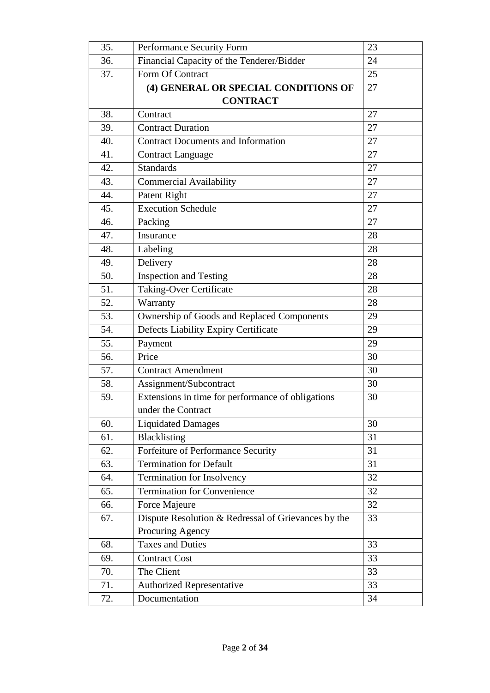| 35. | Performance Security Form                           | 23 |
|-----|-----------------------------------------------------|----|
| 36. | Financial Capacity of the Tenderer/Bidder           | 24 |
| 37. | Form Of Contract                                    | 25 |
|     | (4) GENERAL OR SPECIAL CONDITIONS OF                | 27 |
|     | <b>CONTRACT</b>                                     |    |
| 38. | Contract                                            | 27 |
| 39. | <b>Contract Duration</b>                            | 27 |
| 40. | <b>Contract Documents and Information</b>           | 27 |
| 41. | <b>Contract Language</b>                            | 27 |
| 42. | <b>Standards</b>                                    | 27 |
| 43. | <b>Commercial Availability</b>                      | 27 |
| 44. | Patent Right                                        | 27 |
| 45. | <b>Execution Schedule</b>                           | 27 |
| 46. | Packing                                             | 27 |
| 47. | Insurance                                           | 28 |
| 48. | Labeling                                            | 28 |
| 49. | Delivery                                            | 28 |
| 50. | <b>Inspection and Testing</b>                       | 28 |
| 51. | <b>Taking-Over Certificate</b>                      | 28 |
| 52. | Warranty                                            | 28 |
| 53. | Ownership of Goods and Replaced Components          | 29 |
| 54. | Defects Liability Expiry Certificate                | 29 |
| 55. | Payment                                             | 29 |
| 56. | Price                                               | 30 |
| 57. | <b>Contract Amendment</b>                           | 30 |
| 58. | Assignment/Subcontract                              | 30 |
| 59. | Extensions in time for performance of obligations   | 30 |
|     | under the Contract                                  |    |
| 60. | <b>Liquidated Damages</b>                           | 30 |
| 61. | Blacklisting                                        | 31 |
| 62. | Forfeiture of Performance Security                  | 31 |
| 63. | <b>Termination for Default</b>                      | 31 |
| 64. | Termination for Insolvency                          | 32 |
| 65. | <b>Termination for Convenience</b>                  | 32 |
| 66. | Force Majeure                                       | 32 |
| 67. | Dispute Resolution & Redressal of Grievances by the | 33 |
|     | Procuring Agency                                    |    |
| 68. | <b>Taxes and Duties</b>                             | 33 |
| 69. | <b>Contract Cost</b>                                | 33 |
| 70. | The Client                                          | 33 |
| 71. | <b>Authorized Representative</b>                    | 33 |
| 72. | Documentation                                       | 34 |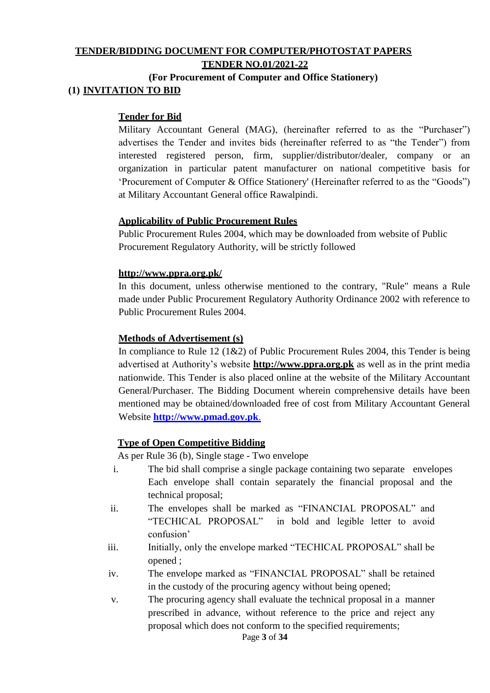## **TENDER/BIDDING DOCUMENT FOR COMPUTER/PHOTOSTAT PAPERS TENDER NO.01/2021-22**

# **(For Procurement of Computer and Office Stationery) (1) INVITATION TO BID**

#### **Tender for Bid**

Military Accountant General (MAG), (hereinafter referred to as the "Purchaser") advertises the Tender and invites bids (hereinafter referred to as "the Tender") from interested registered person, firm, supplier/distributor/dealer, company or an organization in particular patent manufacturer on national competitive basis for 'Procurement of Computer & Office Stationery' (Hereinafter referred to as the "Goods") at Military Accountant General office Rawalpindi.

#### **Applicability of Public Procurement Rules**

Public Procurement Rules 2004, which may be downloaded from website of Public Procurement Regulatory Authority, will be strictly followed

#### **<http://www.ppra.org.pk/>**

In this document, unless otherwise mentioned to the contrary, "Rule" means a Rule made under Public Procurement Regulatory Authority Ordinance 2002 with reference to Public Procurement Rules 2004.

#### **Methods of Advertisement (s)**

In compliance to Rule 12 (1&2) of Public Procurement Rules 2004, this Tender is being advertised at Authority's website **[http://www.ppra.org.pk](http://www.ppra.org.pk/)** as well as in the print media nationwide. This Tender is also placed online at the website of the Military Accountant General/Purchaser. The Bidding Document wherein comprehensive details have been mentioned may be obtained/downloaded free of cost from Military Accountant General Website **[http://www.pmad.gov.pk](http://www.pmad.gov.pk./)**.

#### **Type of Open Competitive Bidding**

As per Rule 36 (b), Single stage - Two envelope

- i. The bid shall comprise a single package containing two separate envelopes Each envelope shall contain separately the financial proposal and the technical proposal;
- ii. The envelopes shall be marked as "FINANCIAL PROPOSAL" and "TECHICAL PROPOSAL" in bold and legible letter to avoid confusion'
- iii. Initially, only the envelope marked "TECHICAL PROPOSAL" shall be opened ;
- iv. The envelope marked as "FINANCIAL PROPOSAL" shall be retained in the custody of the procuring agency without being opened;
- v. The procuring agency shall evaluate the technical proposal in a manner prescribed in advance, without reference to the price and reject any proposal which does not conform to the specified requirements;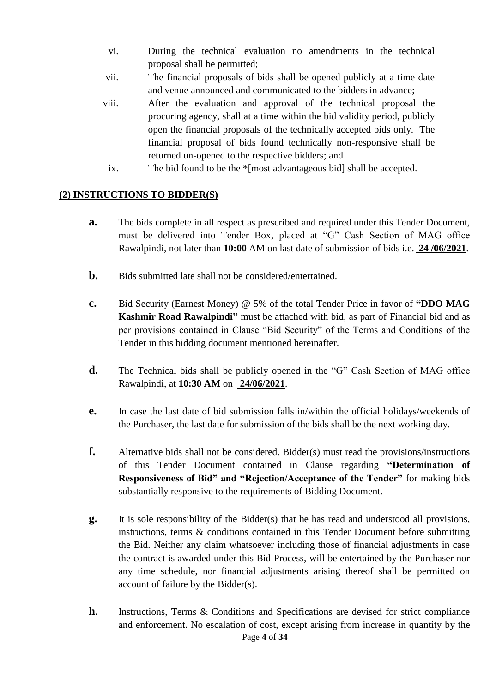- vi. During the technical evaluation no amendments in the technical proposal shall be permitted;
- vii. The financial proposals of bids shall be opened publicly at a time date and venue announced and communicated to the bidders in advance;
- viii. After the evaluation and approval of the technical proposal the procuring agency, shall at a time within the bid validity period, publicly open the financial proposals of the technically accepted bids only. The financial proposal of bids found technically non-responsive shall be returned un-opened to the respective bidders; and
	- ix. The bid found to be the \*[most advantageous bid] shall be accepted.

## **(2) INSTRUCTIONS TO BIDDER(S)**

- **a.** The bids complete in all respect as prescribed and required under this Tender Document, must be delivered into Tender Box, placed at "G" Cash Section of MAG office Rawalpindi, not later than **10:00** AM on last date of submission of bids i.e. **24 /06/2021**.
- **b.** Bids submitted late shall not be considered/entertained.
- **c.** Bid Security (Earnest Money) @ 5% of the total Tender Price in favor of **"DDO MAG Kashmir Road Rawalpindi"** must be attached with bid, as part of Financial bid and as per provisions contained in Clause "Bid Security" of the Terms and Conditions of the Tender in this bidding document mentioned hereinafter.
- **d.** The Technical bids shall be publicly opened in the "G" Cash Section of MAG office Rawalpindi, at **10:30 AM** on **24/06/2021**.
- **e.** In case the last date of bid submission falls in/within the official holidays/weekends of the Purchaser, the last date for submission of the bids shall be the next working day.
- **f.** Alternative bids shall not be considered. Bidder(s) must read the provisions/instructions of this Tender Document contained in Clause regarding **"Determination of Responsiveness of Bid" and "Rejection/Acceptance of the Tender"** for making bids substantially responsive to the requirements of Bidding Document.
- **g.** It is sole responsibility of the Bidder(s) that he has read and understood all provisions, instructions, terms & conditions contained in this Tender Document before submitting the Bid. Neither any claim whatsoever including those of financial adjustments in case the contract is awarded under this Bid Process, will be entertained by the Purchaser nor any time schedule, nor financial adjustments arising thereof shall be permitted on account of failure by the Bidder(s).
- Page **4** of **34 h.** Instructions, Terms & Conditions and Specifications are devised for strict compliance and enforcement. No escalation of cost, except arising from increase in quantity by the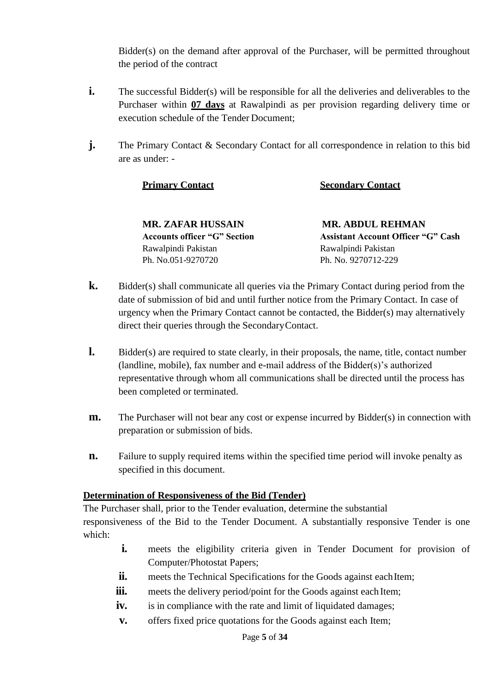Bidder(s) on the demand after approval of the Purchaser, will be permitted throughout the period of the contract

- **i.** The successful Bidder(s) will be responsible for all the deliveries and deliverables to the Purchaser within **07 days** at Rawalpindi as per provision regarding delivery time or execution schedule of the Tender Document;
- **j.** The Primary Contact & Secondary Contact for all correspondence in relation to this bid are as under: -

## **Primary Contact Secondary Contact**

**MR. ZAFAR HUSSAIN MR. ABDUL REHMAN** Rawalpindi Pakistan Rawalpindi Pakistan Ph. No.051-9270720 Ph. No. 9270712-229

**Accounts officer "G" Section Assistant Account Officer "G" Cash** 

- **k.** Bidder(s) shall communicate all queries via the Primary Contact during period from the date of submission of bid and until further notice from the Primary Contact. In case of urgency when the Primary Contact cannot be contacted, the Bidder(s) may alternatively direct their queries through the SecondaryContact.
- **l.** Bidder(s) are required to state clearly, in their proposals, the name, title, contact number (landline, mobile), fax number and e-mail address of the Bidder(s)'s authorized representative through whom all communications shall be directed until the process has been completed or terminated.
- **m.** The Purchaser will not bear any cost or expense incurred by Bidder(s) in connection with preparation or submission of bids.
- **n.** Failure to supply required items within the specified time period will invoke penalty as specified in this document.

#### **Determination of Responsiveness of the Bid (Tender)**

The Purchaser shall, prior to the Tender evaluation, determine the substantial responsiveness of the Bid to the Tender Document. A substantially responsive Tender is one which:

- **i.** meets the eligibility criteria given in Tender Document for provision of Computer/Photostat Papers;
- ii. meets the Technical Specifications for the Goods against eachItem;
- **iii.** meets the delivery period/point for the Goods against each Item;
- **iv.** is in compliance with the rate and limit of liquidated damages;
- **v.** offers fixed price quotations for the Goods against each Item;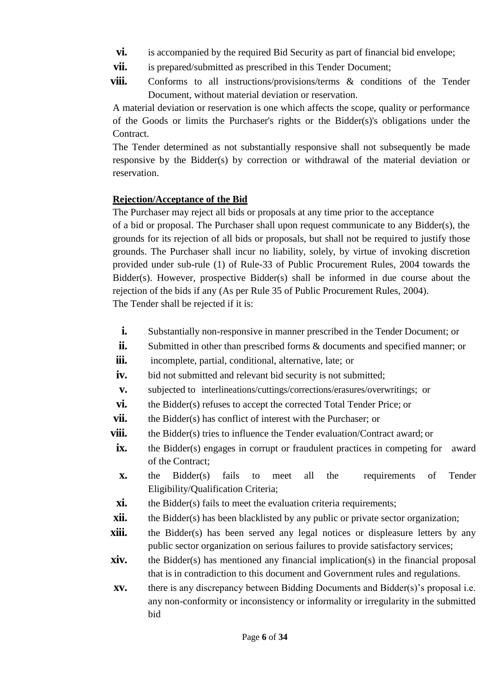- **vi.** is accompanied by the required Bid Security as part of financial bid envelope;
- **vii.** is prepared/submitted as prescribed in this Tender Document;
- **viii.** Conforms to all instructions/provisions/terms & conditions of the Tender Document, without material deviation or reservation.

A material deviation or reservation is one which affects the scope, quality or performance of the Goods or limits the Purchaser's rights or the Bidder(s)'s obligations under the Contract.

The Tender determined as not substantially responsive shall not subsequently be made responsive by the Bidder(s) by correction or withdrawal of the material deviation or reservation.

## **Rejection/Acceptance of the Bid**

The Purchaser may reject all bids or proposals at any time prior to the acceptance

of a bid or proposal. The Purchaser shall upon request communicate to any Bidder(s), the grounds for its rejection of all bids or proposals, but shall not be required to justify those grounds. The Purchaser shall incur no liability, solely, by virtue of invoking discretion provided under sub-rule (1) of Rule-33 of Public Procurement Rules, 2004 towards the Bidder(s). However, prospective Bidder(s) shall be informed in due course about the rejection of the bids if any (As per Rule 35 of Public Procurement Rules, 2004). The Tender shall be rejected if it is:

**i.** Substantially non-responsive in manner prescribed in the Tender Document; or

- **ii.** Submitted in other than prescribed forms & documents and specified manner; or
- **iii.** incomplete, partial, conditional, alternative, late; or
- **iv.** bid not submitted and relevant bid security is not submitted;
- **v.** subjected to interlineations/cuttings/corrections/erasures/overwritings; or
- **vi.** the Bidder(s) refuses to accept the corrected Total Tender Price; or
- **vii.** the Bidder(s) has conflict of interest with the Purchaser; or
- **viii.** the Bidder(s) tries to influence the Tender evaluation/Contract award; or
- **ix.** the Bidder(s) engages in corrupt or fraudulent practices in competing for award of the Contract;
- **x.** the Bidder(s) fails to meet all the requirements of Tender Eligibility/Qualification Criteria;
- **xi.** the Bidder(s) fails to meet the evaluation criteria requirements;
- **xii.** the Bidder(s) has been blacklisted by any public or private sector organization;
- **xiii.** the Bidder(s) has been served any legal notices or displeasure letters by any public sector organization on serious failures to provide satisfactory services;
- **xiv.** the Bidder(s) has mentioned any financial implication(s) in the financial proposal that is in contradiction to this document and Government rules and regulations.
- **xv.** there is any discrepancy between Bidding Documents and Bidder(s)'s proposal i.e. any non-conformity or inconsistency or informality or irregularity in the submitted bid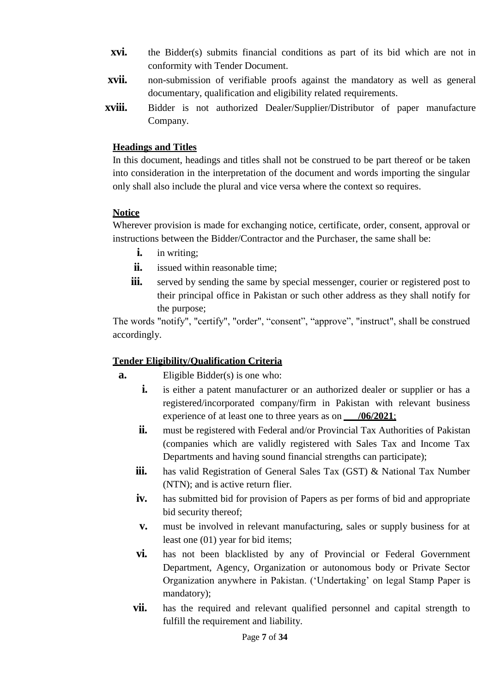- **xvi.** the Bidder(s) submits financial conditions as part of its bid which are not in conformity with Tender Document.
- **xvii.** non-submission of verifiable proofs against the mandatory as well as general documentary, qualification and eligibility related requirements.
- **xviii.** Bidder is not authorized Dealer/Supplier/Distributor of paper manufacture Company.

## **Headings and Titles**

In this document, headings and titles shall not be construed to be part thereof or be taken into consideration in the interpretation of the document and words importing the singular only shall also include the plural and vice versa where the context so requires.

# **Notice**

Wherever provision is made for exchanging notice, certificate, order, consent, approval or instructions between the Bidder/Contractor and the Purchaser, the same shall be:

- **i.** in writing:
- **ii.** issued within reasonable time:
- **iii.** served by sending the same by special messenger, courier or registered post to their principal office in Pakistan or such other address as they shall notify for the purpose;

The words "notify", "certify", "order", "consent", "approve", "instruct", shall be construed accordingly.

# **Tender Eligibility/Qualification Criteria**

- **a.** Eligible Bidder(s) is one who:
	- **i.** is either a patent manufacturer or an authorized dealer or supplier or has a registered/incorporated company/firm in Pakistan with relevant business experience of at least one to three years as on  $/06/2021$ ;
	- **ii.** must be registered with Federal and/or Provincial Tax Authorities of Pakistan (companies which are validly registered with Sales Tax and Income Tax Departments and having sound financial strengths can participate);
	- **iii.** has valid Registration of General Sales Tax (GST) & National Tax Number (NTN); and is active return flier.
	- **iv.** has submitted bid for provision of Papers as per forms of bid and appropriate bid security thereof;
	- **v.** must be involved in relevant manufacturing, sales or supply business for at least one (01) year for bid items;
	- **vi.** has not been blacklisted by any of Provincial or Federal Government Department, Agency, Organization or autonomous body or Private Sector Organization anywhere in Pakistan. ('Undertaking' on legal Stamp Paper is mandatory);
	- **vii.** has the required and relevant qualified personnel and capital strength to fulfill the requirement and liability.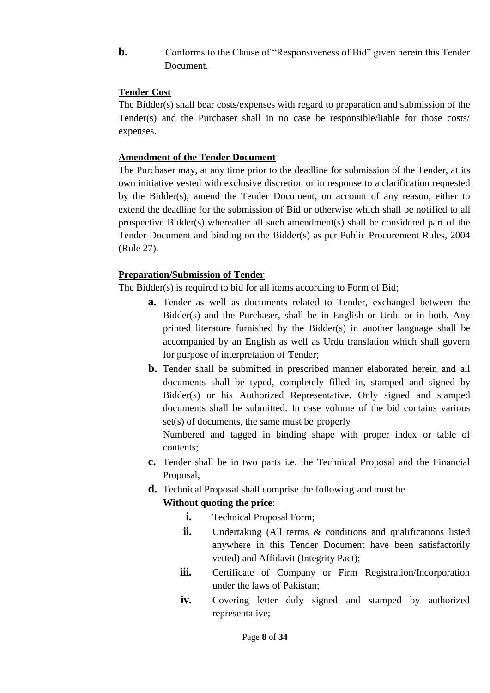**b.** Conforms to the Clause of "Responsiveness of Bid" given herein this Tender Document.

## **Tender Cost**

The Bidder(s) shall bear costs/expenses with regard to preparation and submission of the Tender(s) and the Purchaser shall in no case be responsible/liable for those costs/ expenses.

## **Amendment of the Tender Document**

The Purchaser may, at any time prior to the deadline for submission of the Tender, at its own initiative vested with exclusive discretion or in response to a clarification requested by the Bidder(s), amend the Tender Document, on account of any reason, either to extend the deadline for the submission of Bid or otherwise which shall be notified to all prospective Bidder(s) whereafter all such amendment(s) shall be considered part of the Tender Document and binding on the Bidder(s) as per Public Procurement Rules, 2004 (Rule 27).

## **Preparation/Submission of Tender**

The Bidder(s) is required to bid for all items according to Form of Bid;

- **a.** Tender as well as documents related to Tender, exchanged between the Bidder(s) and the Purchaser, shall be in English or Urdu or in both. Any printed literature furnished by the Bidder(s) in another language shall be accompanied by an English as well as Urdu translation which shall govern for purpose of interpretation of Tender;
- **b.** Tender shall be submitted in prescribed manner elaborated herein and all documents shall be typed, completely filled in, stamped and signed by Bidder(s) or his Authorized Representative. Only signed and stamped documents shall be submitted. In case volume of the bid contains various set(s) of documents, the same must be properly

Numbered and tagged in binding shape with proper index or table of contents;

- **c.** Tender shall be in two parts i.e. the Technical Proposal and the Financial Proposal;
- **d.** Technical Proposal shall comprise the following and must be

# **Without quoting the price**:

- **i.** Technical Proposal Form;
- ii. Undertaking (All terms & conditions and qualifications listed anywhere in this Tender Document have been satisfactorily vetted) and Affidavit (Integrity Pact);
- **iii.** Certificate of Company or Firm Registration/Incorporation under the laws of Pakistan;
- **iv.** Covering letter duly signed and stamped by authorized representative;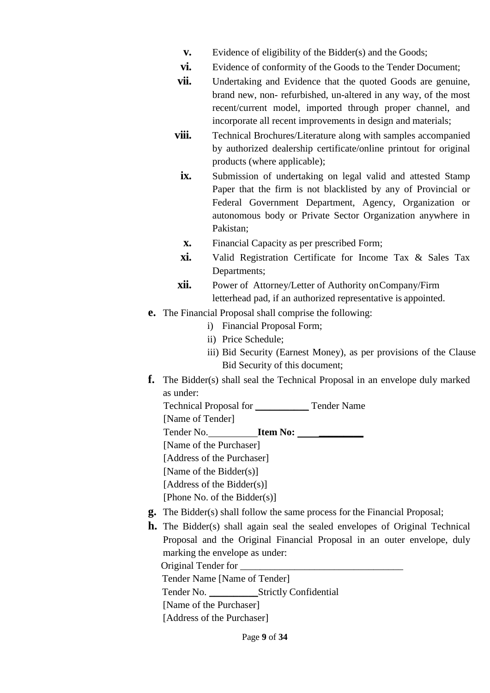- **v.** Evidence of eligibility of the Bidder(s) and the Goods;
- **vi.** Evidence of conformity of the Goods to the Tender Document;
- **vii.** Undertaking and Evidence that the quoted Goods are genuine, brand new, non- refurbished, un-altered in any way, of the most recent/current model, imported through proper channel, and incorporate all recent improvements in design and materials;
- **viii.** Technical Brochures/Literature along with samples accompanied by authorized dealership certificate/online printout for original products (where applicable);
	- **ix.** Submission of undertaking on legal valid and attested Stamp Paper that the firm is not blacklisted by any of Provincial or Federal Government Department, Agency, Organization or autonomous body or Private Sector Organization anywhere in Pakistan;
	- **x.** Financial Capacity as per prescribed Form;
	- **xi.** Valid Registration Certificate for Income Tax & Sales Tax Departments;
- **xii.** Power of Attorney/Letter of Authority onCompany/Firm letterhead pad, if an authorized representative is appointed.
- **e.** The Financial Proposal shall comprise the following:
	- i) Financial Proposal Form;
	- ii) Price Schedule;
	- iii) Bid Security (Earnest Money), as per provisions of the Clause Bid Security of this document;
- **f.** The Bidder(s) shall seal the Technical Proposal in an envelope duly marked as under:
	- Technical Proposal for \_\_\_\_\_\_\_\_\_\_\_ Tender Name

[Name of Tender]

Tender No. **Item No: \_\_\_\_\_\_\_\_\_**

[Name of the Purchaser]

[Address of the Purchaser]

[Name of the Bidder(s)]

[Address of the Bidder(s)]

[Phone No. of the Bidder(s)]

- **g.** The Bidder(s) shall follow the same process for the Financial Proposal;
- **h.** The Bidder(s) shall again seal the sealed envelopes of Original Technical Proposal and the Original Financial Proposal in an outer envelope, duly marking the envelope as under:

Original Tender for

Tender Name [Name of Tender]

Tender No. \_\_\_\_\_\_\_\_\_\_Strictly Confidential

[Name of the Purchaser]

[Address of the Purchaser]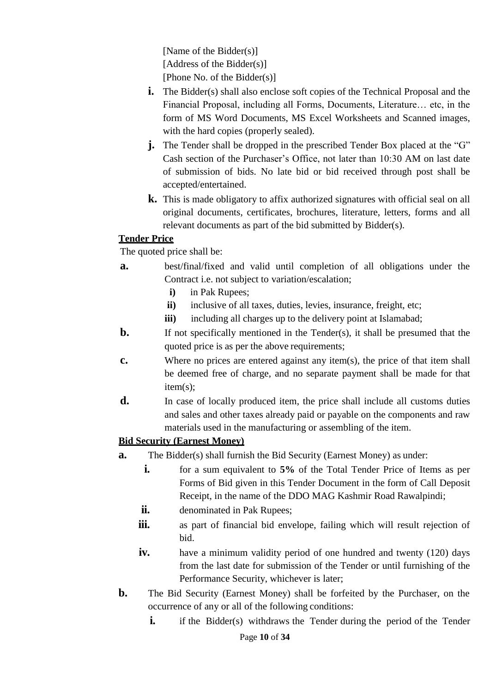[Name of the Bidder(s)] [Address of the Bidder(s)] [Phone No. of the Bidder(s)]

- **i.** The Bidder(s) shall also enclose soft copies of the Technical Proposal and the Financial Proposal, including all Forms, Documents, Literature… etc, in the form of MS Word Documents, MS Excel Worksheets and Scanned images, with the hard copies (properly sealed).
- **j.** The Tender shall be dropped in the prescribed Tender Box placed at the "G" Cash section of the Purchaser's Office, not later than 10:30 AM on last date of submission of bids. No late bid or bid received through post shall be accepted/entertained.
- **k.** This is made obligatory to affix authorized signatures with official seal on all original documents, certificates, brochures, literature, letters, forms and all relevant documents as part of the bid submitted by Bidder(s).

# **Tender Price**

The quoted price shall be:

- **a.** best/final/fixed and valid until completion of all obligations under the Contract i.e. not subject to variation/escalation;
	- **i)** in Pak Rupees;
	- ii) inclusive of all taxes, duties, levies, insurance, freight, etc;
	- **iii**) including all charges up to the delivery point at Islamabad;
- **b.** If not specifically mentioned in the Tender(s), it shall be presumed that the quoted price is as per the above requirements;
- **c.** Where no prices are entered against any item(s), the price of that item shall be deemed free of charge, and no separate payment shall be made for that item(s);
- **d.** In case of locally produced item, the price shall include all customs duties and sales and other taxes already paid or payable on the components and raw materials used in the manufacturing or assembling of the item.

# **Bid Security (Earnest Money)**

- **a.** The Bidder(s) shall furnish the Bid Security (Earnest Money) as under:
	- **i.** for a sum equivalent to **5%** of the Total Tender Price of Items as per Forms of Bid given in this Tender Document in the form of Call Deposit Receipt, in the name of the DDO MAG Kashmir Road Rawalpindi;
	- **ii.** denominated in Pak Rupees;
	- **iii.** as part of financial bid envelope, failing which will result rejection of bid.
	- **iv.** have a minimum validity period of one hundred and twenty (120) days from the last date for submission of the Tender or until furnishing of the Performance Security, whichever is later;
- **b.** The Bid Security (Earnest Money) shall be forfeited by the Purchaser, on the occurrence of any or all of the following conditions:
	- **i.** if the Bidder(s) withdraws the Tender during the period of the Tender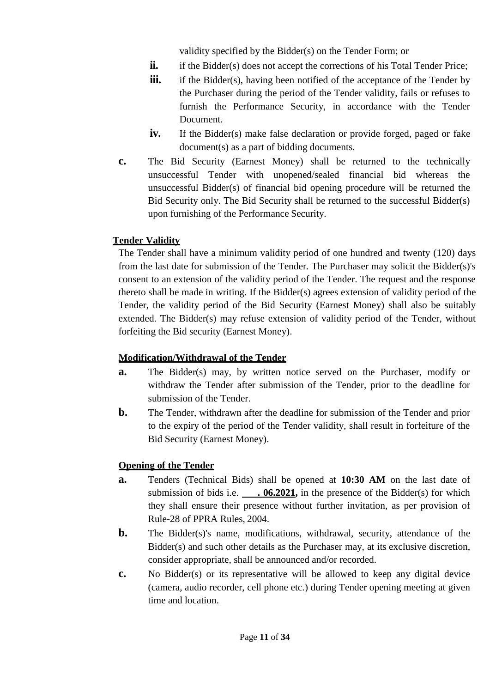validity specified by the Bidder(s) on the Tender Form; or

- **ii.** if the Bidder(s) does not accept the corrections of his Total Tender Price;
- **iii.** if the Bidder(s), having been notified of the acceptance of the Tender by the Purchaser during the period of the Tender validity, fails or refuses to furnish the Performance Security, in accordance with the Tender Document.
- **iv.** If the Bidder(s) make false declaration or provide forged, paged or fake document(s) as a part of bidding documents.
- **c.** The Bid Security (Earnest Money) shall be returned to the technically unsuccessful Tender with unopened/sealed financial bid whereas the unsuccessful Bidder(s) of financial bid opening procedure will be returned the Bid Security only. The Bid Security shall be returned to the successful Bidder(s) upon furnishing of the Performance Security.

# **Tender Validity**

The Tender shall have a minimum validity period of one hundred and twenty (120) days from the last date for submission of the Tender. The Purchaser may solicit the Bidder(s)'s consent to an extension of the validity period of the Tender. The request and the response thereto shall be made in writing. If the Bidder(s) agrees extension of validity period of the Tender, the validity period of the Bid Security (Earnest Money) shall also be suitably extended. The Bidder(s) may refuse extension of validity period of the Tender, without forfeiting the Bid security (Earnest Money).

# **Modification/Withdrawal of the Tender**

- **a.** The Bidder(s) may, by written notice served on the Purchaser, modify or withdraw the Tender after submission of the Tender, prior to the deadline for submission of the Tender.
- **b.** The Tender, withdrawn after the deadline for submission of the Tender and prior to the expiry of the period of the Tender validity, shall result in forfeiture of the Bid Security (Earnest Money).

# **Opening of the Tender**

- **a.** Tenders (Technical Bids) shall be opened at **10:30 AM** on the last date of submission of bids i.e. **. 06.2021**, in the presence of the Bidder(s) for which they shall ensure their presence without further invitation, as per provision of Rule-28 of PPRA Rules, 2004.
- **b.** The Bidder(s)'s name, modifications, withdrawal, security, attendance of the Bidder(s) and such other details as the Purchaser may, at its exclusive discretion, consider appropriate, shall be announced and/or recorded.
- **c.** No Bidder(s) or its representative will be allowed to keep any digital device (camera, audio recorder, cell phone etc.) during Tender opening meeting at given time and location.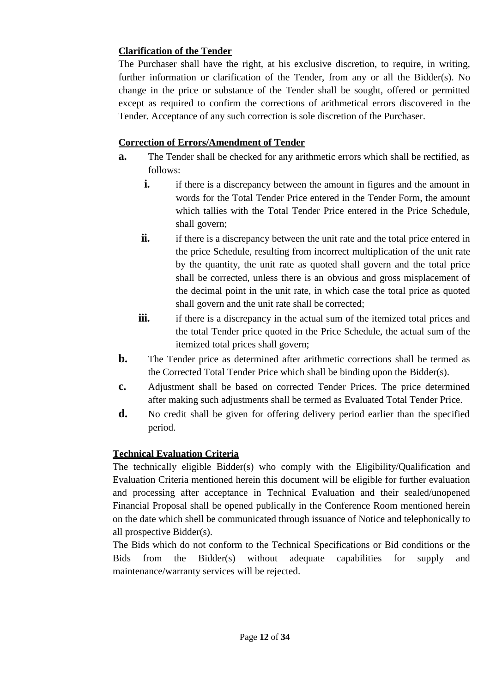# **Clarification of the Tender**

The Purchaser shall have the right, at his exclusive discretion, to require, in writing, further information or clarification of the Tender, from any or all the Bidder(s). No change in the price or substance of the Tender shall be sought, offered or permitted except as required to confirm the corrections of arithmetical errors discovered in the Tender. Acceptance of any such correction is sole discretion of the Purchaser.

## **Correction of Errors/Amendment of Tender**

- **a.** The Tender shall be checked for any arithmetic errors which shall be rectified, as follows:
	- **i.** if there is a discrepancy between the amount in figures and the amount in words for the Total Tender Price entered in the Tender Form, the amount which tallies with the Total Tender Price entered in the Price Schedule, shall govern;
	- **ii.** if there is a discrepancy between the unit rate and the total price entered in the price Schedule, resulting from incorrect multiplication of the unit rate by the quantity, the unit rate as quoted shall govern and the total price shall be corrected, unless there is an obvious and gross misplacement of the decimal point in the unit rate, in which case the total price as quoted shall govern and the unit rate shall be corrected;
	- **iii.** if there is a discrepancy in the actual sum of the itemized total prices and the total Tender price quoted in the Price Schedule, the actual sum of the itemized total prices shall govern;
- **b.** The Tender price as determined after arithmetic corrections shall be termed as the Corrected Total Tender Price which shall be binding upon the Bidder(s).
- **c.** Adjustment shall be based on corrected Tender Prices. The price determined after making such adjustments shall be termed as Evaluated Total Tender Price.
- **d.** No credit shall be given for offering delivery period earlier than the specified period.

# **Technical Evaluation Criteria**

The technically eligible Bidder(s) who comply with the Eligibility/Qualification and Evaluation Criteria mentioned herein this document will be eligible for further evaluation and processing after acceptance in Technical Evaluation and their sealed/unopened Financial Proposal shall be opened publically in the Conference Room mentioned herein on the date which shell be communicated through issuance of Notice and telephonically to all prospective Bidder(s).

The Bids which do not conform to the Technical Specifications or Bid conditions or the Bids from the Bidder(s) without adequate capabilities for supply and maintenance/warranty services will be rejected.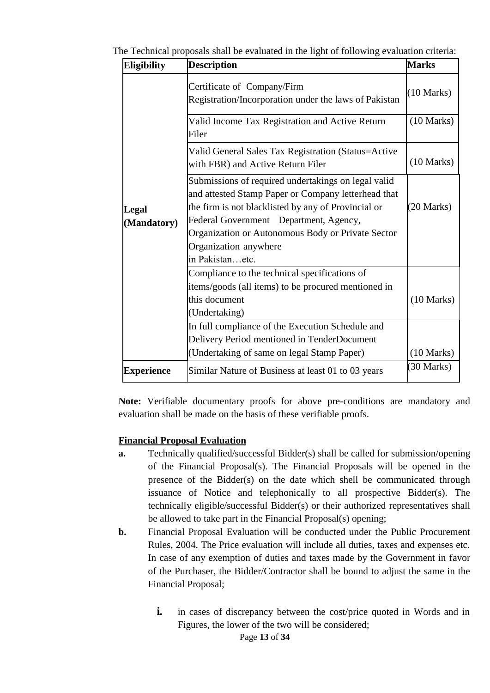|  |  | The Technical proposals shall be evaluated in the light of following evaluation criteria: |
|--|--|-------------------------------------------------------------------------------------------|
|  |  |                                                                                           |

| Eligibility       | <b>Description</b>                                                                                                                                                                                          | <b>Marks</b>         |
|-------------------|-------------------------------------------------------------------------------------------------------------------------------------------------------------------------------------------------------------|----------------------|
|                   | Certificate of Company/Firm<br>Registration/Incorporation under the laws of Pakistan                                                                                                                        | $(10 \text{ Marks})$ |
|                   | Valid Income Tax Registration and Active Return<br>Filer                                                                                                                                                    | $(10 \text{ Marks})$ |
|                   | Valid General Sales Tax Registration (Status=Active<br>with FBR) and Active Return Filer                                                                                                                    | $(10 \text{ Marks})$ |
| Legal             | Submissions of required undertakings on legal valid<br>and attested Stamp Paper or Company letterhead that<br>the firm is not blacklisted by any of Provincial or<br>Federal Government Department, Agency, | $(20$ Marks)         |
| (Mandatory)       | Organization or Autonomous Body or Private Sector<br>Organization anywhere<br>in Pakistanetc.                                                                                                               |                      |
|                   | Compliance to the technical specifications of<br>items/goods (all items) to be procured mentioned in<br>this document<br>(Undertaking)                                                                      | $(10 \text{ Marks})$ |
|                   | In full compliance of the Execution Schedule and<br>Delivery Period mentioned in TenderDocument<br>(Undertaking of same on legal Stamp Paper)                                                               | $(10 \text{ Marks})$ |
| <b>Experience</b> | Similar Nature of Business at least 01 to 03 years                                                                                                                                                          | (30 Marks)           |

**Note:** Verifiable documentary proofs for above pre-conditions are mandatory and evaluation shall be made on the basis of these verifiable proofs.

#### **Financial Proposal Evaluation**

- **a.** Technically qualified/successful Bidder(s) shall be called for submission/opening of the Financial Proposal(s). The Financial Proposals will be opened in the presence of the Bidder(s) on the date which shell be communicated through issuance of Notice and telephonically to all prospective Bidder(s). The technically eligible/successful Bidder(s) or their authorized representatives shall be allowed to take part in the Financial Proposal(s) opening;
- **b.** Financial Proposal Evaluation will be conducted under the Public Procurement Rules, 2004. The Price evaluation will include all duties, taxes and expenses etc. In case of any exemption of duties and taxes made by the Government in favor of the Purchaser, the Bidder/Contractor shall be bound to adjust the same in the Financial Proposal;
	- **i.** in cases of discrepancy between the cost/price quoted in Words and in Figures, the lower of the two will be considered;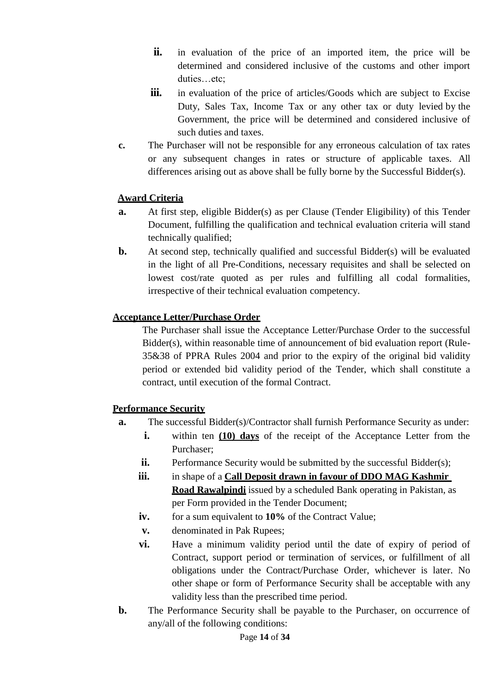- **ii.** in evaluation of the price of an imported item, the price will be determined and considered inclusive of the customs and other import duties…etc;
- **iii.** in evaluation of the price of articles/Goods which are subject to Excise Duty, Sales Tax, Income Tax or any other tax or duty levied by the Government, the price will be determined and considered inclusive of such duties and taxes.
- **c.** The Purchaser will not be responsible for any erroneous calculation of tax rates or any subsequent changes in rates or structure of applicable taxes. All differences arising out as above shall be fully borne by the Successful Bidder(s).

## **Award Criteria**

- **a.** At first step, eligible Bidder(s) as per Clause (Tender Eligibility) of this Tender Document, fulfilling the qualification and technical evaluation criteria will stand technically qualified;
- **b.** At second step, technically qualified and successful Bidder(s) will be evaluated in the light of all Pre-Conditions, necessary requisites and shall be selected on lowest cost/rate quoted as per rules and fulfilling all codal formalities, irrespective of their technical evaluation competency.

#### **Acceptance Letter/Purchase Order**

The Purchaser shall issue the Acceptance Letter/Purchase Order to the successful Bidder(s), within reasonable time of announcement of bid evaluation report (Rule-35&38 of PPRA Rules 2004 and prior to the expiry of the original bid validity period or extended bid validity period of the Tender, which shall constitute a contract, until execution of the formal Contract.

#### **Performance Security**

- **a.** The successful Bidder(s)/Contractor shall furnish Performance Security as under:
	- **i.** within ten **(10) days** of the receipt of the Acceptance Letter from the Purchaser;
	- **ii.** Performance Security would be submitted by the successful Bidder(s);
	- iii. in shape of a **Call Deposit drawn in favour of DDO MAG Kashmir Road Rawalpindi** issued by a scheduled Bank operating in Pakistan, as per Form provided in the Tender Document;
	- **iv.** for a sum equivalent to **10%** of the Contract Value;
	- **v.** denominated in Pak Rupees;
	- **vi.** Have a minimum validity period until the date of expiry of period of Contract, support period or termination of services, or fulfillment of all obligations under the Contract/Purchase Order, whichever is later. No other shape or form of Performance Security shall be acceptable with any validity less than the prescribed time period.
- **b.** The Performance Security shall be payable to the Purchaser, on occurrence of any/all of the following conditions: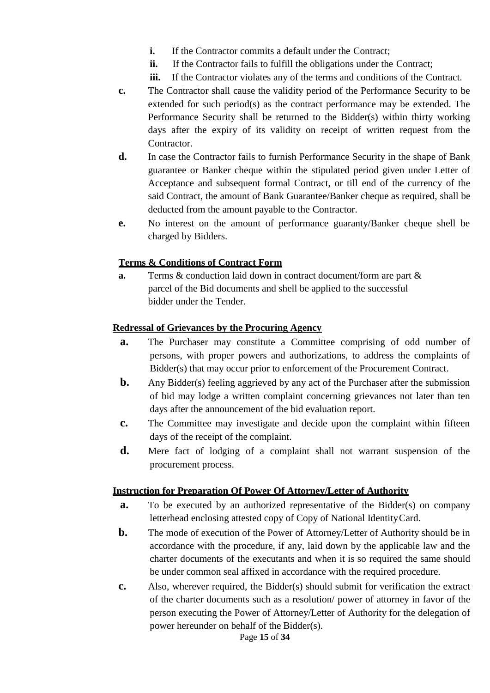- **i.** If the Contractor commits a default under the Contract:
- **ii.** If the Contractor fails to fulfill the obligations under the Contract;
- **iii.** If the Contractor violates any of the terms and conditions of the Contract.
- **c.** The Contractor shall cause the validity period of the Performance Security to be extended for such period(s) as the contract performance may be extended. The Performance Security shall be returned to the Bidder(s) within thirty working days after the expiry of its validity on receipt of written request from the Contractor.
- **d.** In case the Contractor fails to furnish Performance Security in the shape of Bank guarantee or Banker cheque within the stipulated period given under Letter of Acceptance and subsequent formal Contract, or till end of the currency of the said Contract, the amount of Bank Guarantee/Banker cheque as required, shall be deducted from the amount payable to the Contractor.
- **e.** No interest on the amount of performance guaranty/Banker cheque shell be charged by Bidders.

# **Terms & Conditions of Contract Form**

**a.** Terms & conduction laid down in contract document/form are part & parcel of the Bid documents and shell be applied to the successful bidder under the Tender.

#### **Redressal of Grievances by the Procuring Agency**

- **a.** The Purchaser may constitute a Committee comprising of odd number of persons, with proper powers and authorizations, to address the complaints of Bidder(s) that may occur prior to enforcement of the Procurement Contract.
- **b.** Any Bidder(s) feeling aggrieved by any act of the Purchaser after the submission of bid may lodge a written complaint concerning grievances not later than ten days after the announcement of the bid evaluation report.
- **c.** The Committee may investigate and decide upon the complaint within fifteen days of the receipt of the complaint.
- **d.** Mere fact of lodging of a complaint shall not warrant suspension of the procurement process.

#### **Instruction for Preparation Of Power Of Attorney/Letter of Authority**

- **a.** To be executed by an authorized representative of the Bidder(s) on company letterhead enclosing attested copy of Copy of National IdentityCard.
- **b.** The mode of execution of the Power of Attorney/Letter of Authority should be in accordance with the procedure, if any, laid down by the applicable law and the charter documents of the executants and when it is so required the same should be under common seal affixed in accordance with the required procedure.
- **c.** Also, wherever required, the Bidder(s) should submit for verification the extract of the charter documents such as a resolution/ power of attorney in favor of the person executing the Power of Attorney/Letter of Authority for the delegation of power hereunder on behalf of the Bidder(s).

Page **15** of **34**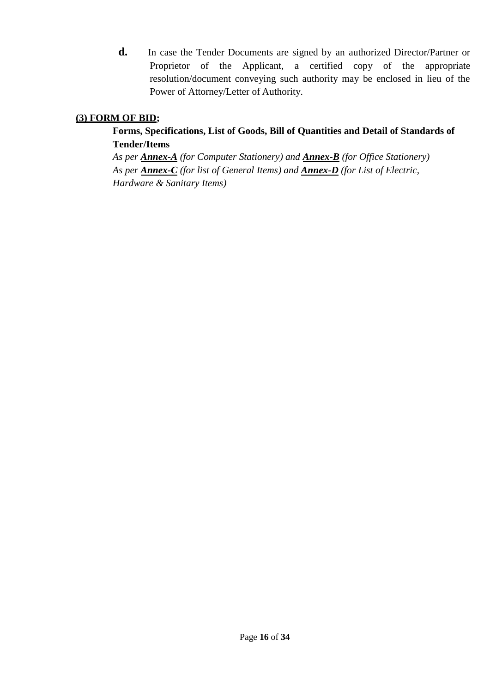**d.** In case the Tender Documents are signed by an authorized Director/Partner or Proprietor of the Applicant, a certified copy of the appropriate resolution/document conveying such authority may be enclosed in lieu of the Power of Attorney/Letter of Authority.

# **(3) FORM OF BID;**

# **Forms, Specifications, List of Goods, Bill of Quantities and Detail of Standards of Tender/Items**

*As per Annex-A (for Computer Stationery) and Annex-B (for Office Stationery) As per Annex-C (for list of General Items) and Annex-D (for List of Electric, Hardware & Sanitary Items)*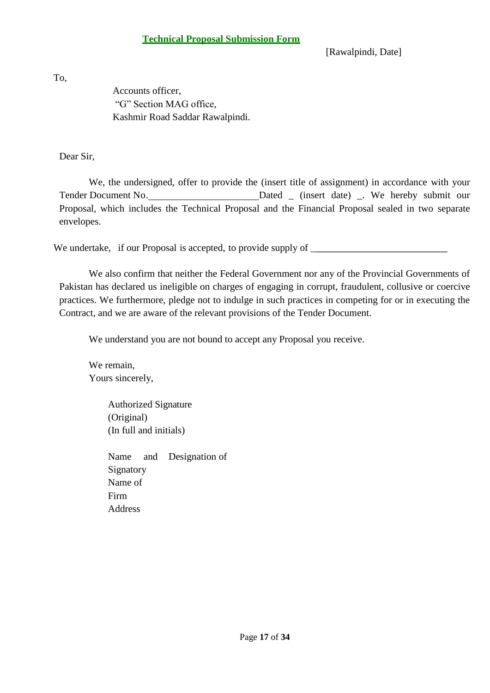[Rawalpindi, Date]

To,

Accounts officer, "G" Section MAG office, Kashmir Road Saddar Rawalpindi.

Dear Sir,

We, the undersigned, offer to provide the (insert title of assignment) in accordance with your Tender Document No. Dated \_ (insert date) \_. We hereby submit our Proposal, which includes the Technical Proposal and the Financial Proposal sealed in two separate envelopes.

We undertake, if our Proposal is accepted, to provide supply of \_

We also confirm that neither the Federal Government nor any of the Provincial Governments of Pakistan has declared us ineligible on charges of engaging in corrupt, fraudulent, collusive or coercive practices. We furthermore, pledge not to indulge in such practices in competing for or in executing the Contract, and we are aware of the relevant provisions of the Tender Document.

We understand you are not bound to accept any Proposal you receive.

We remain, Yours sincerely,

> Authorized Signature (Original) (In full and initials)

Name and Designation of Signatory Name of Firm Address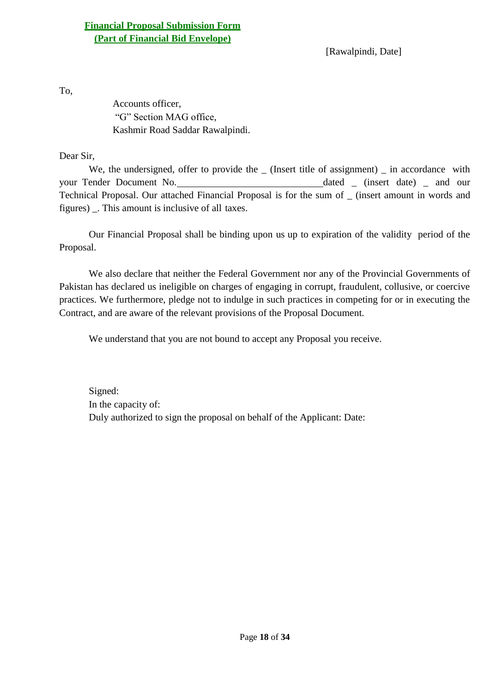[Rawalpindi, Date]

To,

Accounts officer, "G" Section MAG office, Kashmir Road Saddar Rawalpindi.

Dear Sir,

We, the undersigned, offer to provide the \_ (Insert title of assignment) \_ in accordance with your Tender Document No. dated \_ (insert date) \_ and our Technical Proposal. Our attached Financial Proposal is for the sum of \_ (insert amount in words and figures) \_. This amount is inclusive of all taxes.

Our Financial Proposal shall be binding upon us up to expiration of the validity period of the Proposal.

We also declare that neither the Federal Government nor any of the Provincial Governments of Pakistan has declared us ineligible on charges of engaging in corrupt, fraudulent, collusive, or coercive practices. We furthermore, pledge not to indulge in such practices in competing for or in executing the Contract, and are aware of the relevant provisions of the Proposal Document.

We understand that you are not bound to accept any Proposal you receive.

Signed: In the capacity of: Duly authorized to sign the proposal on behalf of the Applicant: Date: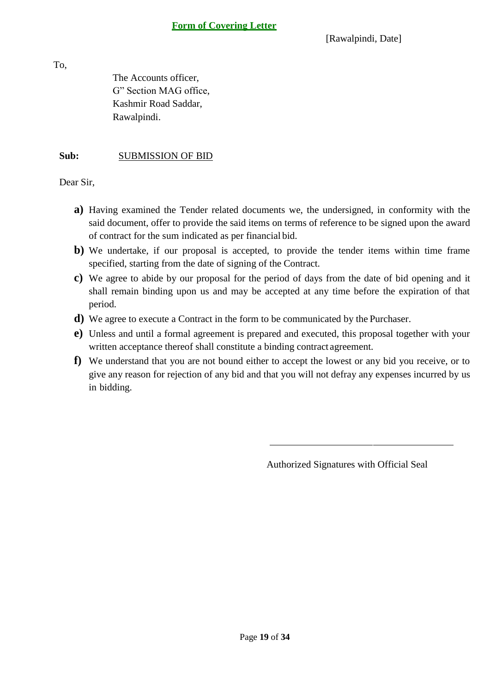[Rawalpindi, Date]

To,

The Accounts officer, G" Section MAG office, Kashmir Road Saddar, Rawalpindi.

## **Sub:** SUBMISSION OF BID

Dear Sir,

- **a)** Having examined the Tender related documents we, the undersigned, in conformity with the said document, offer to provide the said items on terms of reference to be signed upon the award of contract for the sum indicated as per financial bid.
- **b)** We undertake, if our proposal is accepted, to provide the tender items within time frame specified, starting from the date of signing of the Contract.
- **c)** We agree to abide by our proposal for the period of days from the date of bid opening and it shall remain binding upon us and may be accepted at any time before the expiration of that period.
- **d)** We agree to execute a Contract in the form to be communicated by the Purchaser.
- **e)** Unless and until a formal agreement is prepared and executed, this proposal together with your written acceptance thereof shall constitute a binding contract agreement.
- **f)** We understand that you are not bound either to accept the lowest or any bid you receive, or to give any reason for rejection of any bid and that you will not defray any expenses incurred by us in bidding.

Authorized Signatures with Official Seal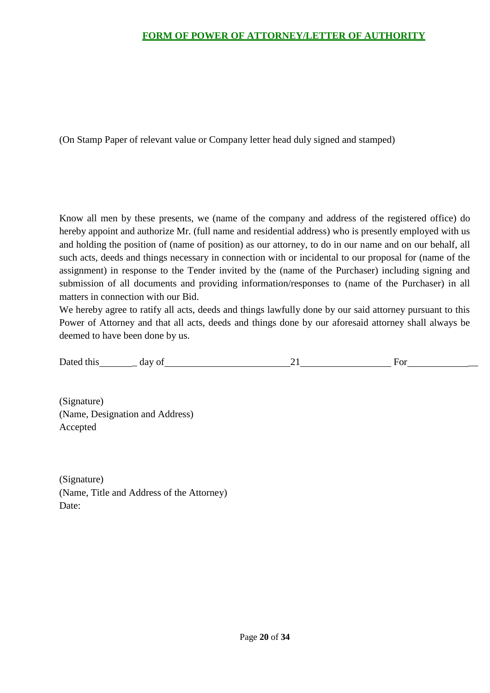# **FORM OF POWER OF ATTORNEY/LETTER OF AUTHORITY**

(On Stamp Paper of relevant value or Company letter head duly signed and stamped)

Know all men by these presents, we (name of the company and address of the registered office) do hereby appoint and authorize Mr. (full name and residential address) who is presently employed with us and holding the position of (name of position) as our attorney, to do in our name and on our behalf, all such acts, deeds and things necessary in connection with or incidental to our proposal for (name of the assignment) in response to the Tender invited by the (name of the Purchaser) including signing and submission of all documents and providing information/responses to (name of the Purchaser) in all matters in connection with our Bid.

We hereby agree to ratify all acts, deeds and things lawfully done by our said attorney pursuant to this Power of Attorney and that all acts, deeds and things done by our aforesaid attorney shall always be deemed to have been done by us.

| Dated<br>this<br>dav | $\Omega$ | O1 |
|----------------------|----------|----|
|                      |          |    |

(Signature) (Name, Designation and Address) Accepted

(Signature) (Name, Title and Address of the Attorney) Date: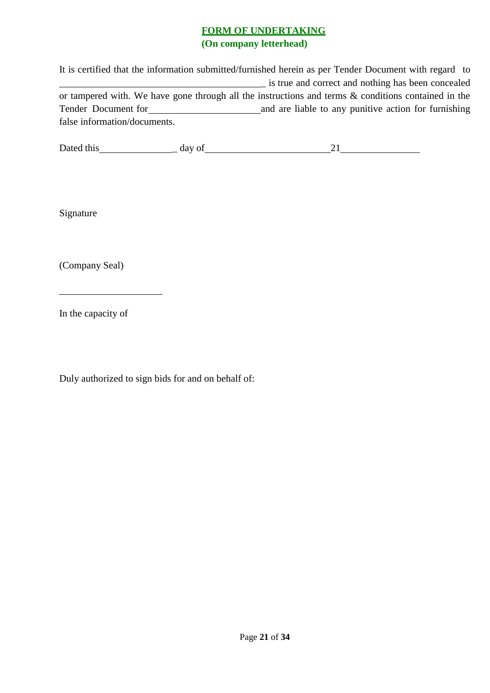## **FORM OF UNDERTAKING (On company letterhead)**

It is certified that the information submitted/furnished herein as per Tender Document with regard to \_ is true and correct and nothing has been concealed or tampered with. We have gone through all the instructions and terms & conditions contained in the Tender Document for **All 2013 Contract and are liable to any punitive action for furnishing** false information/documents.

| Dated this | ua |  |
|------------|----|--|
|            |    |  |

Signature

(Company Seal)

In the capacity of

Duly authorized to sign bids for and on behalf of: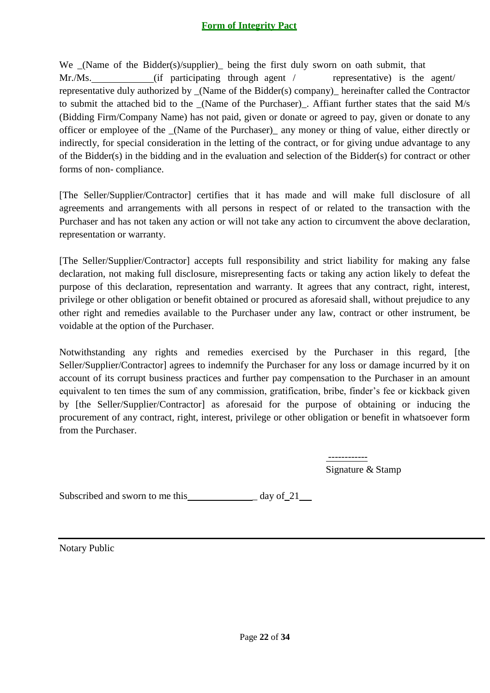# **Form of Integrity Pact**

We \_(Name of the Bidder(s)/supplier)\_ being the first duly sworn on oath submit, that Mr./Ms. (if participating through agent / representative) is the agent representative duly authorized by \_(Name of the Bidder(s) company)\_ hereinafter called the Contractor to submit the attached bid to the \_(Name of the Purchaser)\_. Affiant further states that the said M/s (Bidding Firm/Company Name) has not paid, given or donate or agreed to pay, given or donate to any officer or employee of the \_(Name of the Purchaser)\_ any money or thing of value, either directly or indirectly, for special consideration in the letting of the contract, or for giving undue advantage to any of the Bidder(s) in the bidding and in the evaluation and selection of the Bidder(s) for contract or other forms of non- compliance.

[The Seller/Supplier/Contractor] certifies that it has made and will make full disclosure of all agreements and arrangements with all persons in respect of or related to the transaction with the Purchaser and has not taken any action or will not take any action to circumvent the above declaration, representation or warranty.

[The Seller/Supplier/Contractor] accepts full responsibility and strict liability for making any false declaration, not making full disclosure, misrepresenting facts or taking any action likely to defeat the purpose of this declaration, representation and warranty. It agrees that any contract, right, interest, privilege or other obligation or benefit obtained or procured as aforesaid shall, without prejudice to any other right and remedies available to the Purchaser under any law, contract or other instrument, be voidable at the option of the Purchaser.

Notwithstanding any rights and remedies exercised by the Purchaser in this regard, [the Seller/Supplier/Contractor] agrees to indemnify the Purchaser for any loss or damage incurred by it on account of its corrupt business practices and further pay compensation to the Purchaser in an amount equivalent to ten times the sum of any commission, gratification, bribe, finder's fee or kickback given by [the Seller/Supplier/Contractor] as aforesaid for the purpose of obtaining or inducing the procurement of any contract, right, interest, privilege or other obligation or benefit in whatsoever form from the Purchaser.

> ------------ Signature & Stamp

Subscribed and sworn to me this \_ day of 21

Notary Public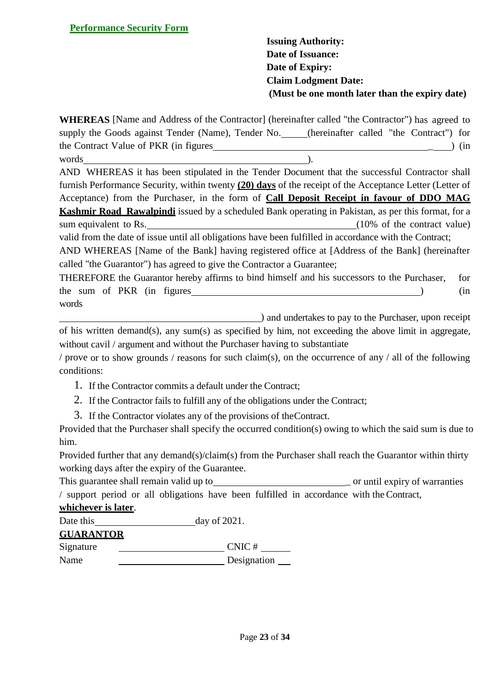**Issuing Authority: Date of Issuance: Date of Expiry: Claim Lodgment Date: (Must be one month later than the expiry date)**

**WHEREAS** [Name and Address of the Contractor] (hereinafter called "the Contractor") has agreed to supply the Goods against Tender (Name), Tender No. \_\_\_\_\_(hereinafter called "the Contract") for the Contract Value of PKR (in figures  $\qquad \qquad$  ) (in words  $\overline{\phantom{a}}$ .

AND WHEREAS it has been stipulated in the Tender Document that the successful Contractor shall

furnish Performance Security, within twenty **(20) days** of the receipt of the Acceptance Letter (Letter of Acceptance) from the Purchaser, in the form of **Call Deposit Receipt in favour of DDO MAG Kashmir Road Rawalpindi** issued by a scheduled Bank operating in Pakistan, as per this format, for a sum equivalent to Rs. (10% of the contract value) valid from the date of issue until all obligations have been fulfilled in accordance with the Contract;

AND WHEREAS [Name of the Bank] having registered office at [Address of the Bank] (hereinafter called "the Guarantor") has agreed to give the Contractor a Guarantee;

THEREFORE the Guarantor hereby affirms to bind himself and his successors to the Purchaser, for the sum of PKR (in figures ) (in words

**EXECUTE:** and undertakes to pay to the Purchaser, upon receipt of his written demand(s), any sum(s) as specified by him, not exceeding the above limit in aggregate, without cavil / argument and without the Purchaser having to substantiate

/ prove or to show grounds / reasons for such claim(s), on the occurrence of any / all of the following conditions:

- 1. If the Contractor commits a default under the Contract;
- 2. If the Contractor fails to fulfill any of the obligations under the Contract;
- 3. If the Contractor violates any of the provisions of theContract.

Provided that the Purchaser shall specify the occurred condition(s) owing to which the said sum is due to him.

Provided further that any demand(s)/claim(s) from the Purchaser shall reach the Guarantor within thirty working days after the expiry of the Guarantee.

This guarantee shall remain valid up to \_ or until expiry of warranties / support period or all obligations have been fulfilled in accordance with the Contract,

# **whichever is later**.

| Date this        | day of $2021$ . |  |  |
|------------------|-----------------|--|--|
| <b>GUARANTOR</b> |                 |  |  |
| Signature        | CNIC#           |  |  |
| Name             | Designation     |  |  |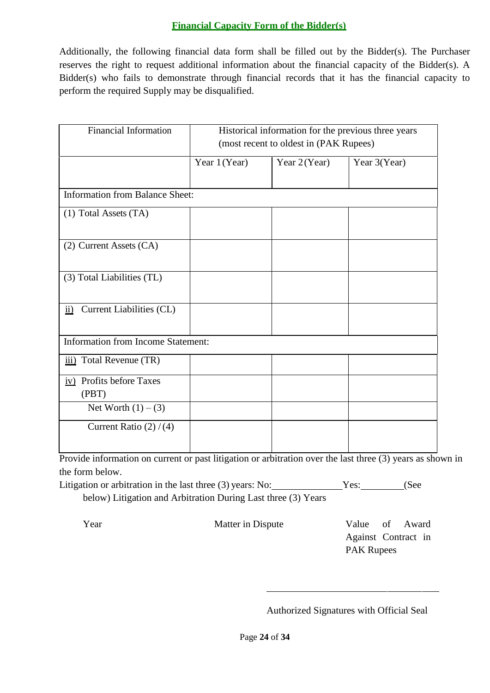## **Financial Capacity Form of the Bidder(s)**

Additionally, the following financial data form shall be filled out by the Bidder(s). The Purchaser reserves the right to request additional information about the financial capacity of the Bidder(s). A Bidder(s) who fails to demonstrate through financial records that it has the financial capacity to perform the required Supply may be disqualified.

| <b>Financial Information</b>              | Historical information for the previous three years<br>(most recent to oldest in (PAK Rupees) |              |              |
|-------------------------------------------|-----------------------------------------------------------------------------------------------|--------------|--------------|
|                                           | Year 1 (Year)                                                                                 | Year 2(Year) | Year 3(Year) |
| Information from Balance Sheet:           |                                                                                               |              |              |
| (1) Total Assets (TA)                     |                                                                                               |              |              |
| (2) Current Assets (CA)                   |                                                                                               |              |              |
| (3) Total Liabilities (TL)                |                                                                                               |              |              |
| Current Liabilities (CL)<br>$\mathbf{ii}$ |                                                                                               |              |              |
| <b>Information from Income Statement:</b> |                                                                                               |              |              |
| Total Revenue (TR)<br>$\overline{111}$ )  |                                                                                               |              |              |
| iv) Profits before Taxes<br>(PBT)         |                                                                                               |              |              |
| Net Worth $(1) - (3)$                     |                                                                                               |              |              |
| Current Ratio $(2) / (4)$                 |                                                                                               |              |              |

Provide information on current or past litigation or arbitration over the last three (3) years as shown in the form below.

| Litigation or arbitration in the last three (3) years: No:    | Yes: | (See |
|---------------------------------------------------------------|------|------|
| below) Litigation and Arbitration During Last three (3) Years |      |      |

Year Matter in Dispute Value of Award Against Contract in PAK Rupees

Authorized Signatures with Official Seal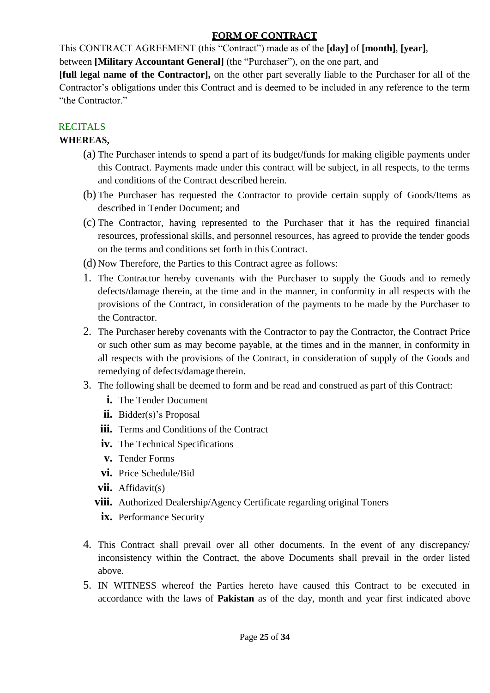# **FORM OF CONTRACT**

This CONTRACT AGREEMENT (this "Contract") made as of the **[day]** of **[month]**, **[year]**,

between **[Military Accountant General]** (the "Purchaser"), on the one part, and

**[full legal name of the Contractor],** on the other part severally liable to the Purchaser for all of the Contractor's obligations under this Contract and is deemed to be included in any reference to the term "the Contractor."

# **RECITALS**

# **WHEREAS,**

- (a) The Purchaser intends to spend a part of its budget/funds for making eligible payments under this Contract. Payments made under this contract will be subject, in all respects, to the terms and conditions of the Contract described herein.
- (b) The Purchaser has requested the Contractor to provide certain supply of Goods/Items as described in Tender Document; and
- (c) The Contractor, having represented to the Purchaser that it has the required financial resources, professional skills, and personnel resources, has agreed to provide the tender goods on the terms and conditions set forth in this Contract.
- (d) Now Therefore, the Parties to this Contract agree as follows:
- 1. The Contractor hereby covenants with the Purchaser to supply the Goods and to remedy defects/damage therein, at the time and in the manner, in conformity in all respects with the provisions of the Contract, in consideration of the payments to be made by the Purchaser to the Contractor.
- 2. The Purchaser hereby covenants with the Contractor to pay the Contractor, the Contract Price or such other sum as may become payable, at the times and in the manner, in conformity in all respects with the provisions of the Contract, in consideration of supply of the Goods and remedying of defects/damage therein.
- 3. The following shall be deemed to form and be read and construed as part of this Contract:
	- **i.** The Tender Document
	- **ii.** Bidder(s)'s Proposal
	- **iii.** Terms and Conditions of the Contract
	- **iv.** The Technical Specifications
	- **v.** Tender Forms
	- **vi.** Price Schedule/Bid
	- **vii.** Affidavit(s)
	- **viii.** Authorized Dealership/Agency Certificate regarding original Toners
	- **ix.** Performance Security
- 4. This Contract shall prevail over all other documents. In the event of any discrepancy/ inconsistency within the Contract, the above Documents shall prevail in the order listed above.
- 5. IN WITNESS whereof the Parties hereto have caused this Contract to be executed in accordance with the laws of **Pakistan** as of the day, month and year first indicated above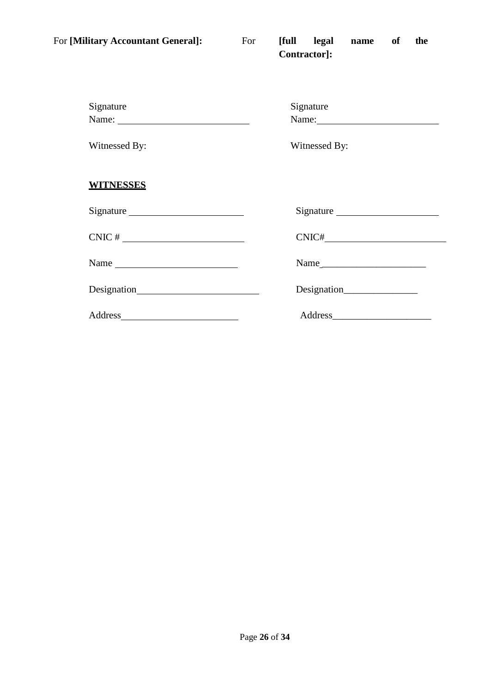| For [Military Accountant General]: | For | [full legal name<br>of<br>the<br>Contractor]: |
|------------------------------------|-----|-----------------------------------------------|
| Signature                          |     | Signature<br>Name:                            |
| Witnessed By:                      |     | Witnessed By:                                 |
| <b>WITNESSES</b>                   |     |                                               |
|                                    |     |                                               |
| $CNIC$ # $\qquad \qquad$           |     |                                               |
| Name                               |     |                                               |
|                                    |     | Designation                                   |
|                                    |     |                                               |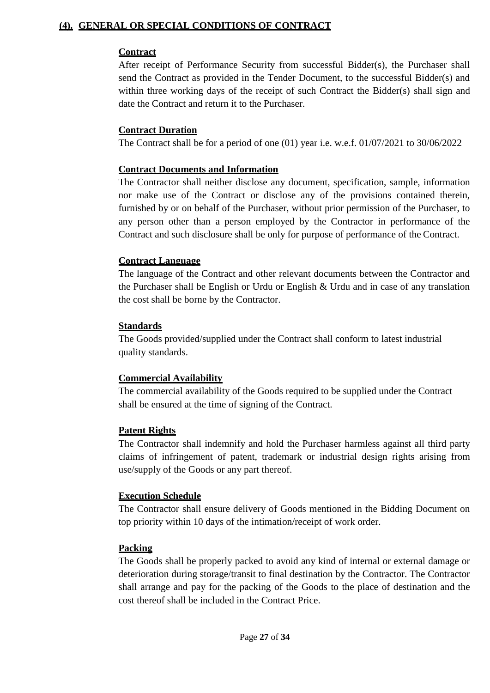## **(4). GENERAL OR SPECIAL CONDITIONS OF CONTRACT**

## **Contract**

After receipt of Performance Security from successful Bidder(s), the Purchaser shall send the Contract as provided in the Tender Document, to the successful Bidder(s) and within three working days of the receipt of such Contract the Bidder(s) shall sign and date the Contract and return it to the Purchaser.

## **Contract Duration**

The Contract shall be for a period of one (01) year i.e. w.e.f. 01/07/2021 to 30/06/2022

## **Contract Documents and Information**

The Contractor shall neither disclose any document, specification, sample, information nor make use of the Contract or disclose any of the provisions contained therein, furnished by or on behalf of the Purchaser, without prior permission of the Purchaser, to any person other than a person employed by the Contractor in performance of the Contract and such disclosure shall be only for purpose of performance of the Contract.

## **Contract Language**

The language of the Contract and other relevant documents between the Contractor and the Purchaser shall be English or Urdu or English & Urdu and in case of any translation the cost shall be borne by the Contractor.

## **Standards**

The Goods provided/supplied under the Contract shall conform to latest industrial quality standards.

# **Commercial Availability**

The commercial availability of the Goods required to be supplied under the Contract shall be ensured at the time of signing of the Contract.

# **Patent Rights**

The Contractor shall indemnify and hold the Purchaser harmless against all third party claims of infringement of patent, trademark or industrial design rights arising from use/supply of the Goods or any part thereof.

#### **Execution Schedule**

The Contractor shall ensure delivery of Goods mentioned in the Bidding Document on top priority within 10 days of the intimation/receipt of work order.

#### **Packing**

The Goods shall be properly packed to avoid any kind of internal or external damage or deterioration during storage/transit to final destination by the Contractor. The Contractor shall arrange and pay for the packing of the Goods to the place of destination and the cost thereof shall be included in the Contract Price.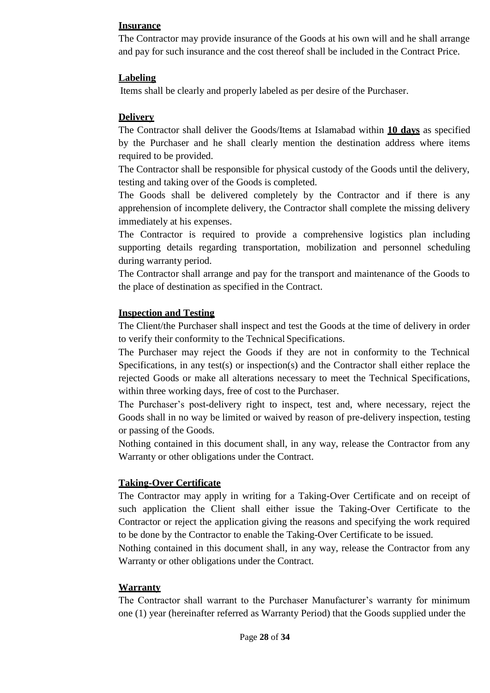#### **Insurance**

The Contractor may provide insurance of the Goods at his own will and he shall arrange and pay for such insurance and the cost thereof shall be included in the Contract Price.

#### **Labeling**

Items shall be clearly and properly labeled as per desire of the Purchaser.

#### **Delivery**

The Contractor shall deliver the Goods/Items at Islamabad within **10 days** as specified by the Purchaser and he shall clearly mention the destination address where items required to be provided.

The Contractor shall be responsible for physical custody of the Goods until the delivery, testing and taking over of the Goods is completed.

The Goods shall be delivered completely by the Contractor and if there is any apprehension of incomplete delivery, the Contractor shall complete the missing delivery immediately at his expenses.

The Contractor is required to provide a comprehensive logistics plan including supporting details regarding transportation, mobilization and personnel scheduling during warranty period.

The Contractor shall arrange and pay for the transport and maintenance of the Goods to the place of destination as specified in the Contract.

#### **Inspection and Testing**

The Client/the Purchaser shall inspect and test the Goods at the time of delivery in order to verify their conformity to the Technical Specifications.

The Purchaser may reject the Goods if they are not in conformity to the Technical Specifications, in any test(s) or inspection(s) and the Contractor shall either replace the rejected Goods or make all alterations necessary to meet the Technical Specifications, within three working days, free of cost to the Purchaser.

The Purchaser's post-delivery right to inspect, test and, where necessary, reject the Goods shall in no way be limited or waived by reason of pre-delivery inspection, testing or passing of the Goods.

Nothing contained in this document shall, in any way, release the Contractor from any Warranty or other obligations under the Contract.

#### **Taking-Over Certificate**

The Contractor may apply in writing for a Taking-Over Certificate and on receipt of such application the Client shall either issue the Taking-Over Certificate to the Contractor or reject the application giving the reasons and specifying the work required to be done by the Contractor to enable the Taking-Over Certificate to be issued.

Nothing contained in this document shall, in any way, release the Contractor from any Warranty or other obligations under the Contract.

#### **Warranty**

The Contractor shall warrant to the Purchaser Manufacturer's warranty for minimum one (1) year (hereinafter referred as Warranty Period) that the Goods supplied under the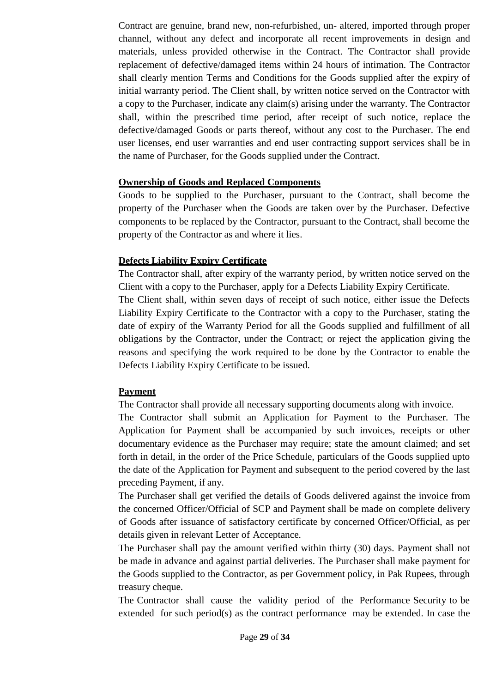Contract are genuine, brand new, non-refurbished, un- altered, imported through proper channel, without any defect and incorporate all recent improvements in design and materials, unless provided otherwise in the Contract. The Contractor shall provide replacement of defective/damaged items within 24 hours of intimation. The Contractor shall clearly mention Terms and Conditions for the Goods supplied after the expiry of initial warranty period. The Client shall, by written notice served on the Contractor with a copy to the Purchaser, indicate any claim(s) arising under the warranty. The Contractor shall, within the prescribed time period, after receipt of such notice, replace the defective/damaged Goods or parts thereof, without any cost to the Purchaser. The end user licenses, end user warranties and end user contracting support services shall be in the name of Purchaser, for the Goods supplied under the Contract.

#### **Ownership of Goods and Replaced Components**

Goods to be supplied to the Purchaser, pursuant to the Contract, shall become the property of the Purchaser when the Goods are taken over by the Purchaser. Defective components to be replaced by the Contractor, pursuant to the Contract, shall become the property of the Contractor as and where it lies.

#### **Defects Liability Expiry Certificate**

The Contractor shall, after expiry of the warranty period, by written notice served on the Client with a copy to the Purchaser, apply for a Defects Liability Expiry Certificate. The Client shall, within seven days of receipt of such notice, either issue the Defects Liability Expiry Certificate to the Contractor with a copy to the Purchaser, stating the date of expiry of the Warranty Period for all the Goods supplied and fulfillment of all obligations by the Contractor, under the Contract; or reject the application giving the reasons and specifying the work required to be done by the Contractor to enable the Defects Liability Expiry Certificate to be issued.

#### **Payment**

The Contractor shall provide all necessary supporting documents along with invoice.

The Contractor shall submit an Application for Payment to the Purchaser. The Application for Payment shall be accompanied by such invoices, receipts or other documentary evidence as the Purchaser may require; state the amount claimed; and set forth in detail, in the order of the Price Schedule, particulars of the Goods supplied upto the date of the Application for Payment and subsequent to the period covered by the last preceding Payment, if any.

The Purchaser shall get verified the details of Goods delivered against the invoice from the concerned Officer/Official of SCP and Payment shall be made on complete delivery of Goods after issuance of satisfactory certificate by concerned Officer/Official, as per details given in relevant Letter of Acceptance.

The Purchaser shall pay the amount verified within thirty (30) days. Payment shall not be made in advance and against partial deliveries. The Purchaser shall make payment for the Goods supplied to the Contractor, as per Government policy, in Pak Rupees, through treasury cheque.

The Contractor shall cause the validity period of the Performance Security to be extended for such period(s) as the contract performance may be extended. In case the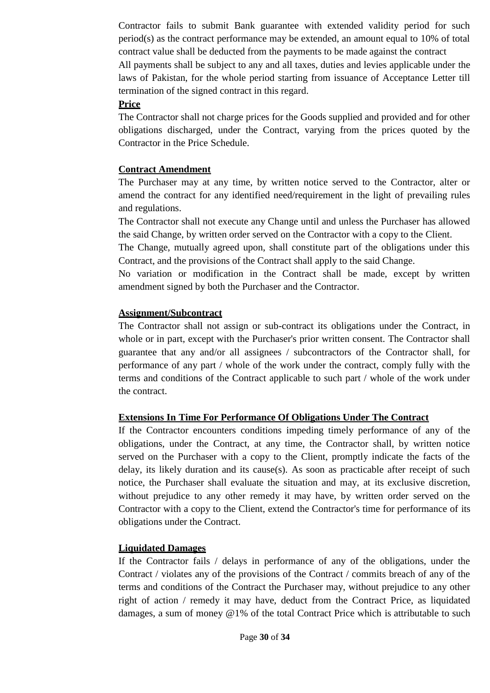Contractor fails to submit Bank guarantee with extended validity period for such period(s) as the contract performance may be extended, an amount equal to 10% of total contract value shall be deducted from the payments to be made against the contract All payments shall be subject to any and all taxes, duties and levies applicable under the laws of Pakistan, for the whole period starting from issuance of Acceptance Letter till termination of the signed contract in this regard.

#### **Price**

The Contractor shall not charge prices for the Goods supplied and provided and for other obligations discharged, under the Contract, varying from the prices quoted by the Contractor in the Price Schedule.

#### **Contract Amendment**

The Purchaser may at any time, by written notice served to the Contractor, alter or amend the contract for any identified need/requirement in the light of prevailing rules and regulations.

The Contractor shall not execute any Change until and unless the Purchaser has allowed the said Change, by written order served on the Contractor with a copy to the Client.

The Change, mutually agreed upon, shall constitute part of the obligations under this Contract, and the provisions of the Contract shall apply to the said Change.

No variation or modification in the Contract shall be made, except by written amendment signed by both the Purchaser and the Contractor.

#### **Assignment/Subcontract**

The Contractor shall not assign or sub-contract its obligations under the Contract, in whole or in part, except with the Purchaser's prior written consent. The Contractor shall guarantee that any and/or all assignees / subcontractors of the Contractor shall, for performance of any part / whole of the work under the contract, comply fully with the terms and conditions of the Contract applicable to such part / whole of the work under the contract.

#### **Extensions In Time For Performance Of Obligations Under The Contract**

If the Contractor encounters conditions impeding timely performance of any of the obligations, under the Contract, at any time, the Contractor shall, by written notice served on the Purchaser with a copy to the Client, promptly indicate the facts of the delay, its likely duration and its cause(s). As soon as practicable after receipt of such notice, the Purchaser shall evaluate the situation and may, at its exclusive discretion, without prejudice to any other remedy it may have, by written order served on the Contractor with a copy to the Client, extend the Contractor's time for performance of its obligations under the Contract.

#### **Liquidated Damages**

If the Contractor fails / delays in performance of any of the obligations, under the Contract / violates any of the provisions of the Contract / commits breach of any of the terms and conditions of the Contract the Purchaser may, without prejudice to any other right of action / remedy it may have, deduct from the Contract Price, as liquidated damages, a sum of money @1% of the total Contract Price which is attributable to such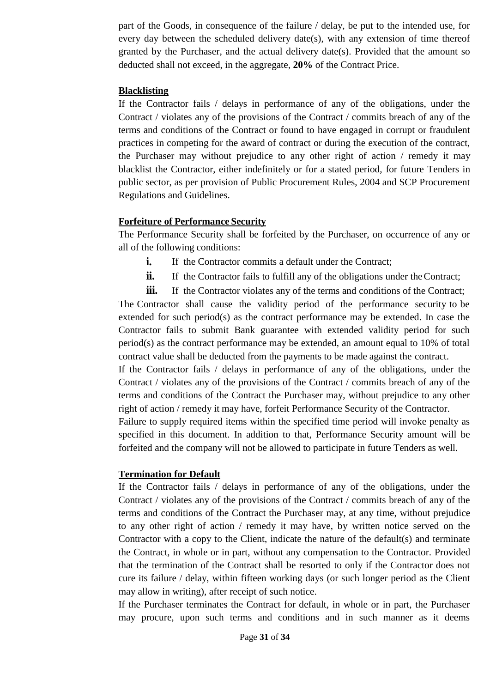part of the Goods, in consequence of the failure / delay, be put to the intended use, for every day between the scheduled delivery date(s), with any extension of time thereof granted by the Purchaser, and the actual delivery date(s). Provided that the amount so deducted shall not exceed, in the aggregate, **20%** of the Contract Price.

#### **Blacklisting**

If the Contractor fails / delays in performance of any of the obligations, under the Contract / violates any of the provisions of the Contract / commits breach of any of the terms and conditions of the Contract or found to have engaged in corrupt or fraudulent practices in competing for the award of contract or during the execution of the contract, the Purchaser may without prejudice to any other right of action / remedy it may blacklist the Contractor, either indefinitely or for a stated period, for future Tenders in public sector, as per provision of Public Procurement Rules, 2004 and SCP Procurement Regulations and Guidelines.

#### **Forfeiture of Performance Security**

The Performance Security shall be forfeited by the Purchaser, on occurrence of any or all of the following conditions:

- **i.** If the Contractor commits a default under the Contract;
- **ii.** If the Contractor fails to fulfill any of the obligations under the Contract;
- **iii.** If the Contractor violates any of the terms and conditions of the Contract;

The Contractor shall cause the validity period of the performance security to be extended for such period(s) as the contract performance may be extended. In case the Contractor fails to submit Bank guarantee with extended validity period for such  $period(s)$  as the contract performance may be extended, an amount equal to 10% of total contract value shall be deducted from the payments to be made against the contract.

If the Contractor fails / delays in performance of any of the obligations, under the Contract / violates any of the provisions of the Contract / commits breach of any of the terms and conditions of the Contract the Purchaser may, without prejudice to any other right of action / remedy it may have, forfeit Performance Security of the Contractor.

Failure to supply required items within the specified time period will invoke penalty as specified in this document. In addition to that, Performance Security amount will be forfeited and the company will not be allowed to participate in future Tenders as well.

#### **Termination for Default**

If the Contractor fails / delays in performance of any of the obligations, under the Contract / violates any of the provisions of the Contract / commits breach of any of the terms and conditions of the Contract the Purchaser may, at any time, without prejudice to any other right of action / remedy it may have, by written notice served on the Contractor with a copy to the Client, indicate the nature of the default(s) and terminate the Contract, in whole or in part, without any compensation to the Contractor. Provided that the termination of the Contract shall be resorted to only if the Contractor does not cure its failure / delay, within fifteen working days (or such longer period as the Client may allow in writing), after receipt of such notice.

If the Purchaser terminates the Contract for default, in whole or in part, the Purchaser may procure, upon such terms and conditions and in such manner as it deems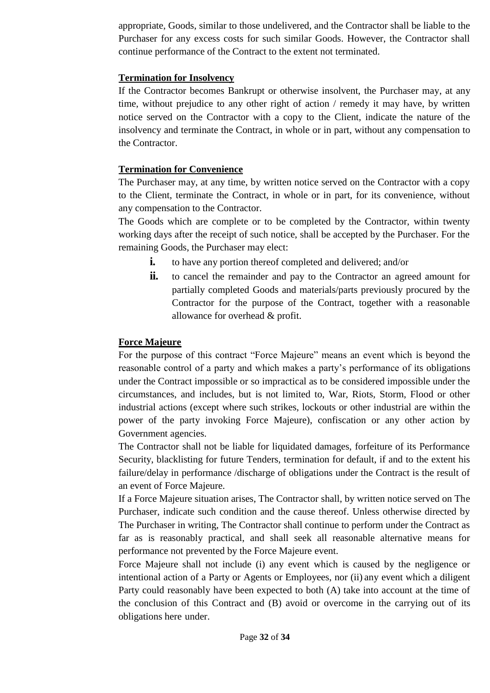appropriate, Goods, similar to those undelivered, and the Contractor shall be liable to the Purchaser for any excess costs for such similar Goods. However, the Contractor shall continue performance of the Contract to the extent not terminated.

#### **Termination for Insolvency**

If the Contractor becomes Bankrupt or otherwise insolvent, the Purchaser may, at any time, without prejudice to any other right of action / remedy it may have, by written notice served on the Contractor with a copy to the Client, indicate the nature of the insolvency and terminate the Contract, in whole or in part, without any compensation to the Contractor.

#### **Termination for Convenience**

The Purchaser may, at any time, by written notice served on the Contractor with a copy to the Client, terminate the Contract, in whole or in part, for its convenience, without any compensation to the Contractor.

The Goods which are complete or to be completed by the Contractor, within twenty working days after the receipt of such notice, shall be accepted by the Purchaser. For the remaining Goods, the Purchaser may elect:

- **i.** to have any portion thereof completed and delivered; and/or
- **ii.** to cancel the remainder and pay to the Contractor an agreed amount for partially completed Goods and materials/parts previously procured by the Contractor for the purpose of the Contract, together with a reasonable allowance for overhead & profit.

#### **Force Majeure**

For the purpose of this contract "Force Majeure" means an event which is beyond the reasonable control of a party and which makes a party's performance of its obligations under the Contract impossible or so impractical as to be considered impossible under the circumstances, and includes, but is not limited to, War, Riots, Storm, Flood or other industrial actions (except where such strikes, lockouts or other industrial are within the power of the party invoking Force Majeure), confiscation or any other action by Government agencies.

The Contractor shall not be liable for liquidated damages, forfeiture of its Performance Security, blacklisting for future Tenders, termination for default, if and to the extent his failure/delay in performance /discharge of obligations under the Contract is the result of an event of Force Majeure.

If a Force Majeure situation arises, The Contractor shall, by written notice served on The Purchaser, indicate such condition and the cause thereof. Unless otherwise directed by The Purchaser in writing, The Contractor shall continue to perform under the Contract as far as is reasonably practical, and shall seek all reasonable alternative means for performance not prevented by the Force Majeure event.

Force Majeure shall not include (i) any event which is caused by the negligence or intentional action of a Party or Agents or Employees, nor (ii) any event which a diligent Party could reasonably have been expected to both (A) take into account at the time of the conclusion of this Contract and (B) avoid or overcome in the carrying out of its obligations here under.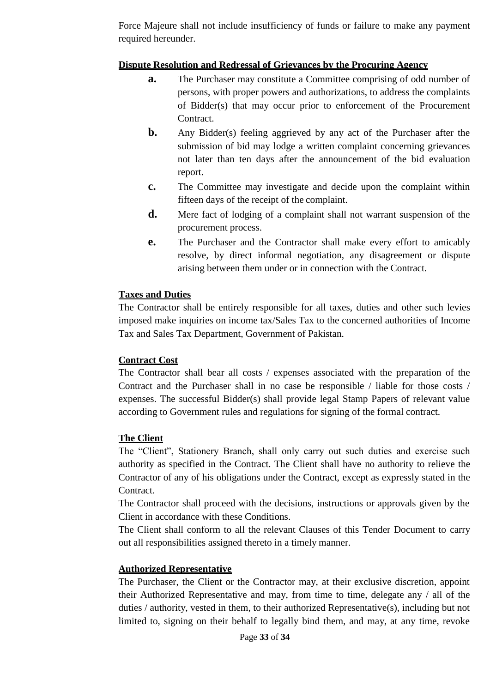Force Majeure shall not include insufficiency of funds or failure to make any payment required hereunder.

#### **Dispute Resolution and Redressal of Grievances by the Procuring Agency**

- **a.** The Purchaser may constitute a Committee comprising of odd number of persons, with proper powers and authorizations, to address the complaints of Bidder(s) that may occur prior to enforcement of the Procurement Contract.
- **b.** Any Bidder(s) feeling aggrieved by any act of the Purchaser after the submission of bid may lodge a written complaint concerning grievances not later than ten days after the announcement of the bid evaluation report.
- **c.** The Committee may investigate and decide upon the complaint within fifteen days of the receipt of the complaint.
- **d.** Mere fact of lodging of a complaint shall not warrant suspension of the procurement process.
- **e.** The Purchaser and the Contractor shall make every effort to amicably resolve, by direct informal negotiation, any disagreement or dispute arising between them under or in connection with the Contract.

#### **Taxes and Duties**

The Contractor shall be entirely responsible for all taxes, duties and other such levies imposed make inquiries on income tax/Sales Tax to the concerned authorities of Income Tax and Sales Tax Department, Government of Pakistan.

#### **Contract Cost**

The Contractor shall bear all costs / expenses associated with the preparation of the Contract and the Purchaser shall in no case be responsible / liable for those costs / expenses. The successful Bidder(s) shall provide legal Stamp Papers of relevant value according to Government rules and regulations for signing of the formal contract.

#### **The Client**

The "Client", Stationery Branch, shall only carry out such duties and exercise such authority as specified in the Contract. The Client shall have no authority to relieve the Contractor of any of his obligations under the Contract, except as expressly stated in the Contract.

The Contractor shall proceed with the decisions, instructions or approvals given by the Client in accordance with these Conditions.

The Client shall conform to all the relevant Clauses of this Tender Document to carry out all responsibilities assigned thereto in a timely manner.

## **Authorized Representative**

The Purchaser, the Client or the Contractor may, at their exclusive discretion, appoint their Authorized Representative and may, from time to time, delegate any / all of the duties / authority, vested in them, to their authorized Representative(s), including but not limited to, signing on their behalf to legally bind them, and may, at any time, revoke